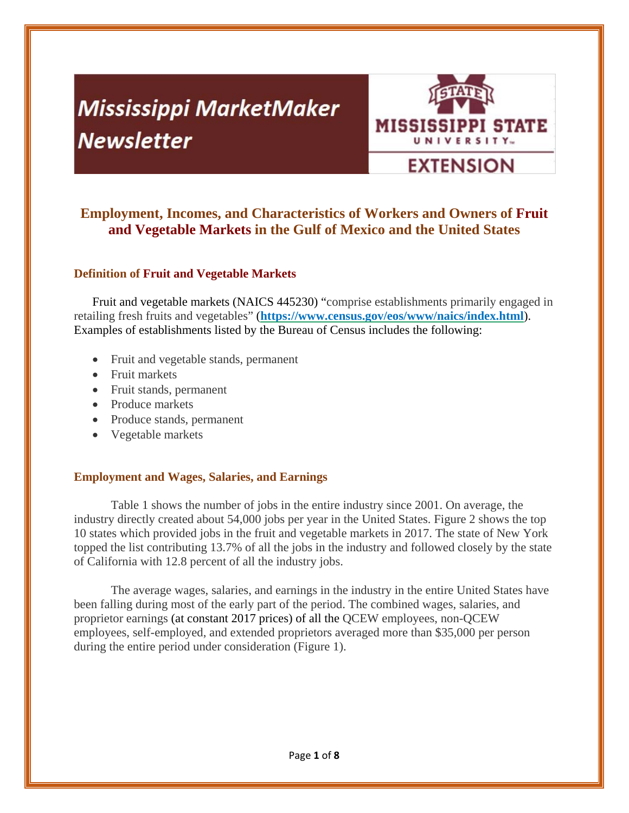# **Mississippi MarketMaker Newsletter**



# **Employment, Incomes, and Characteristics of Workers and Owners of Fruit and Vegetable Markets in the Gulf of Mexico and the United States**

#### **Definition of Fruit and Vegetable Markets**

Fruit and vegetable markets (NAICS 445230) "comprise establishments primarily engaged in retailing fresh fruits and vegetables" (**https://www.census.gov/eos/www/naics/index.html**). Examples of establishments listed by the Bureau of Census includes the following:

- Fruit and vegetable stands, permanent
- Fruit markets
- Fruit stands, permanent
- Produce markets
- Produce stands, permanent
- Vegetable markets

#### **Employment and Wages, Salaries, and Earnings**

Table 1 shows the number of jobs in the entire industry since 2001. On average, the industry directly created about 54,000 jobs per year in the United States. Figure 2 shows the top 10 states which provided jobs in the fruit and vegetable markets in 2017. The state of New York topped the list contributing 13.7% of all the jobs in the industry and followed closely by the state of California with 12.8 percent of all the industry jobs.

The average wages, salaries, and earnings in the industry in the entire United States have been falling during most of the early part of the period. The combined wages, salaries, and proprietor earnings (at constant 2017 prices) of all the QCEW employees, non-QCEW employees, self-employed, and extended proprietors averaged more than \$35,000 per person during the entire period under consideration (Figure 1).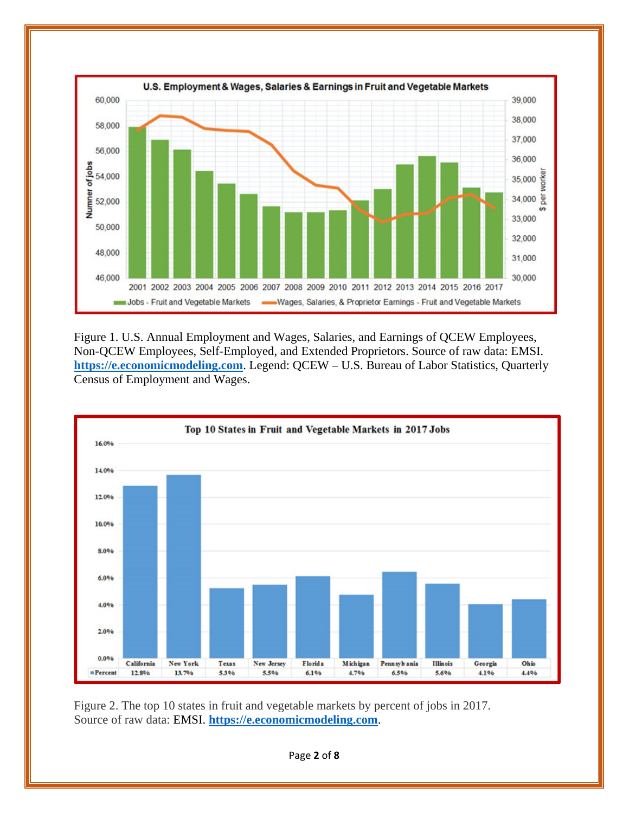

Figure 1. U.S. Annual Employment and Wages, Salaries, and Earnings of QCEW Employees, Non-QCEW Employees, Self-Employed, and Extended Proprietors. Source of raw data: EMSI. **https://e.economicmodeling.com**. Legend: QCEW – U.S. Bureau of Labor Statistics, Quarterly Census of Employment and Wages.



Figure 2. The top 10 states in fruit and vegetable markets by percent of jobs in 2017. Source of raw data: EMSI. **https://e.economicmodeling.com**.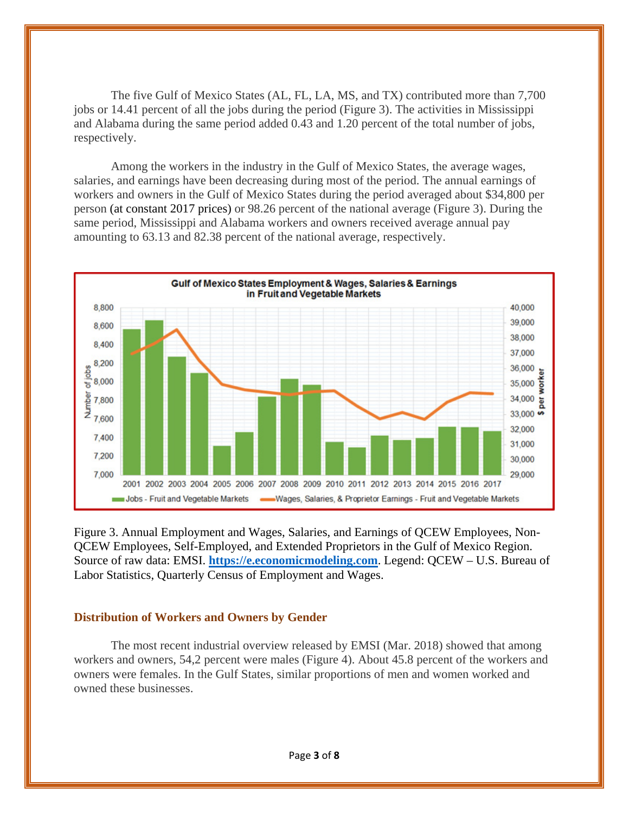The five Gulf of Mexico States (AL, FL, LA, MS, and TX) contributed more than 7,700 jobs or 14.41 percent of all the jobs during the period (Figure 3). The activities in Mississippi and Alabama during the same period added 0.43 and 1.20 percent of the total number of jobs, respectively.

Among the workers in the industry in the Gulf of Mexico States, the average wages, salaries, and earnings have been decreasing during most of the period. The annual earnings of workers and owners in the Gulf of Mexico States during the period averaged about \$34,800 per person (at constant 2017 prices) or 98.26 percent of the national average (Figure 3). During the same period, Mississippi and Alabama workers and owners received average annual pay amounting to 63.13 and 82.38 percent of the national average, respectively.



Figure 3. Annual Employment and Wages, Salaries, and Earnings of QCEW Employees, Non-QCEW Employees, Self-Employed, and Extended Proprietors in the Gulf of Mexico Region. Source of raw data: EMSI. **https://e.economicmodeling.com**. Legend: QCEW – U.S. Bureau of Labor Statistics, Quarterly Census of Employment and Wages.

#### **Distribution of Workers and Owners by Gender**

The most recent industrial overview released by EMSI (Mar. 2018) showed that among workers and owners, 54,2 percent were males (Figure 4). About 45.8 percent of the workers and owners were females. In the Gulf States, similar proportions of men and women worked and owned these businesses.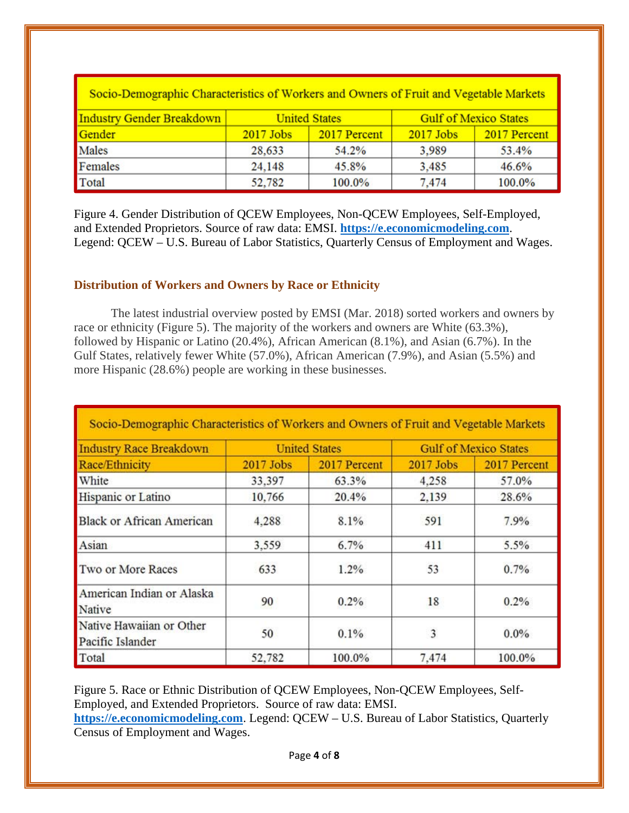| Socio-Demographic Characteristics of Workers and Owners of Fruit and Vegetable Markets |                      |              |                              |              |  |  |  |
|----------------------------------------------------------------------------------------|----------------------|--------------|------------------------------|--------------|--|--|--|
| Industry Gender Breakdown                                                              | <b>United States</b> |              | <b>Gulf of Mexico States</b> |              |  |  |  |
| Gender                                                                                 | $2017$ Jobs          | 2017 Percent | $2017$ Jobs                  | 2017 Percent |  |  |  |
| Males                                                                                  | 28,633               | 54.2%        | 3.989                        | 53.4%        |  |  |  |
| Females                                                                                | 24,148               | 45.8%        | 3,485                        | 46.6%        |  |  |  |
| Total                                                                                  | 52,782               | 100.0%       | 7,474                        | 100.0%       |  |  |  |

Figure 4. Gender Distribution of QCEW Employees, Non-QCEW Employees, Self-Employed, and Extended Proprietors. Source of raw data: EMSI. **https://e.economicmodeling.com**. Legend: QCEW – U.S. Bureau of Labor Statistics, Quarterly Census of Employment and Wages.

#### **Distribution of Workers and Owners by Race or Ethnicity**

The latest industrial overview posted by EMSI (Mar. 2018) sorted workers and owners by race or ethnicity (Figure 5). The majority of the workers and owners are White (63.3%), followed by Hispanic or Latino (20.4%), African American (8.1%), and Asian (6.7%). In the Gulf States, relatively fewer White (57.0%), African American (7.9%), and Asian (5.5%) and more Hispanic (28.6%) people are working in these businesses.

| Socio-Demographic Characteristics of Workers and Owners of Fruit and Vegetable Markets |                      |              |                              |              |  |  |  |
|----------------------------------------------------------------------------------------|----------------------|--------------|------------------------------|--------------|--|--|--|
| <b>Industry Race Breakdown</b>                                                         | <b>United States</b> |              | <b>Gulf of Mexico States</b> |              |  |  |  |
| Race/Ethnicity                                                                         | $2017$ Jobs          | 2017 Percent | $2017$ Jobs                  | 2017 Percent |  |  |  |
| White                                                                                  | 33,397               | 63.3%        | 4.258                        | 57.0%        |  |  |  |
| Hispanic or Latino                                                                     | 10,766               | 20.4%        | 2.139                        | 28.6%        |  |  |  |
| <b>Black or African American</b>                                                       | 4.288                | 8.1%         | 591                          | 7.9%         |  |  |  |
| Asian                                                                                  | 3,559                | 6.7%         | 411                          | 5.5%         |  |  |  |
| Two or More Races                                                                      | 633                  | 1.2%         | 53                           | 0.7%         |  |  |  |
| American Indian or Alaska<br>Native                                                    | 90                   | 0.2%         | 18                           | 0.2%         |  |  |  |
| Native Hawaiian or Other<br>Pacific Islander                                           | 50                   | 0.1%         | 3                            | $0.0\%$      |  |  |  |
| Total                                                                                  | 52,782               | 100.0%       | 7,474                        | 100.0%       |  |  |  |

Figure 5. Race or Ethnic Distribution of QCEW Employees, Non-QCEW Employees, Self-Employed, and Extended Proprietors. Source of raw data: EMSI.

**https://e.economicmodeling.com**. Legend: QCEW – U.S. Bureau of Labor Statistics, Quarterly Census of Employment and Wages.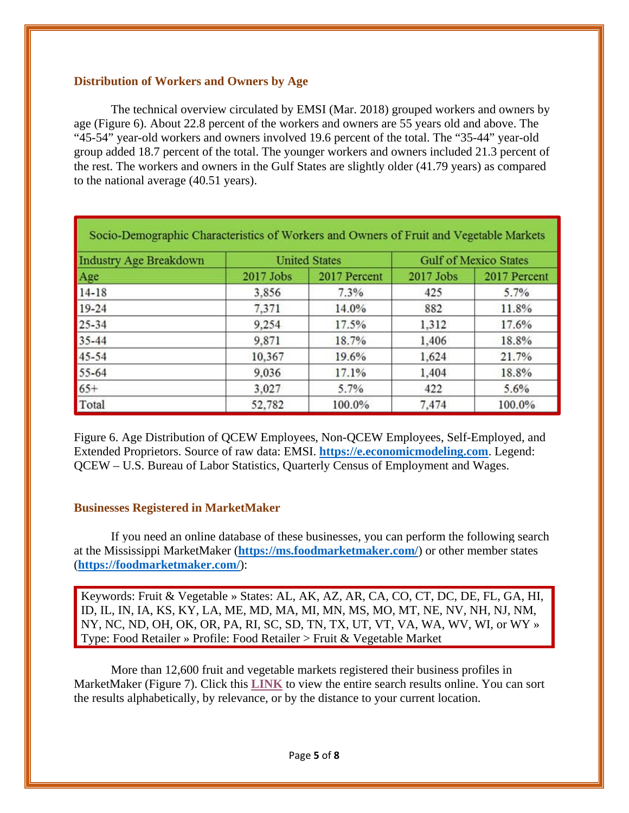#### **Distribution of Workers and Owners by Age**

The technical overview circulated by EMSI (Mar. 2018) grouped workers and owners by age (Figure 6). About 22.8 percent of the workers and owners are 55 years old and above. The "45-54" year-old workers and owners involved 19.6 percent of the total. The "35-44" year-old group added 18.7 percent of the total. The younger workers and owners included 21.3 percent of the rest. The workers and owners in the Gulf States are slightly older (41.79 years) as compared to the national average (40.51 years).

| Socio-Demographic Characteristics of Workers and Owners of Fruit and Vegetable Markets |                      |              |                              |              |  |  |  |
|----------------------------------------------------------------------------------------|----------------------|--------------|------------------------------|--------------|--|--|--|
| <b>Industry Age Breakdown</b>                                                          | <b>United States</b> |              | <b>Gulf of Mexico States</b> |              |  |  |  |
| Age                                                                                    | 2017 Jobs            | 2017 Percent | 2017 Jobs                    | 2017 Percent |  |  |  |
| $14 - 18$                                                                              | 3.856                | 7.3%         | 425                          | 5.7%         |  |  |  |
| $19 - 24$                                                                              | 7,371                | 14.0%        | 882                          | 11.8%        |  |  |  |
| $25 - 34$                                                                              | 9.254                | 17.5%        | 1,312                        | 17.6%        |  |  |  |
| $35 - 44$                                                                              | 9,871                | 18.7%        | 1,406                        | 18.8%        |  |  |  |
| 45-54                                                                                  | 10,367               | 19.6%        | 1,624                        | 21.7%        |  |  |  |
| 55-64                                                                                  | 9,036                | 17.1%        | 1,404                        | 18.8%        |  |  |  |
| $65+$                                                                                  | 3,027                | 5.7%         | 422                          | 5.6%         |  |  |  |
| Total                                                                                  | 52,782               | 100.0%       | 7,474                        | 100.0%       |  |  |  |

Figure 6. Age Distribution of QCEW Employees, Non-QCEW Employees, Self-Employed, and Extended Proprietors. Source of raw data: EMSI. **https://e.economicmodeling.com**. Legend: QCEW – U.S. Bureau of Labor Statistics, Quarterly Census of Employment and Wages.

#### **Businesses Registered in MarketMaker**

If you need an online database of these businesses, you can perform the following search at the Mississippi MarketMaker (**https://ms.foodmarketmaker.com/**) or other member states (**https://foodmarketmaker.com/**):

Keywords: Fruit & Vegetable » States: AL, AK, AZ, AR, CA, CO, CT, DC, DE, FL, GA, HI, ID, IL, IN, IA, KS, KY, LA, ME, MD, MA, MI, MN, MS, MO, MT, NE, NV, NH, NJ, NM, NY, NC, ND, OH, OK, OR, PA, RI, SC, SD, TN, TX, UT, VT, VA, WA, WV, WI, or WY » Type: Food Retailer » Profile: Food Retailer > Fruit & Vegetable Market

More than 12,600 fruit and vegetable markets registered their business profiles in MarketMaker (Figure 7). Click this **LINK** to view the entire search results online. You can sort the results alphabetically, by relevance, or by the distance to your current location.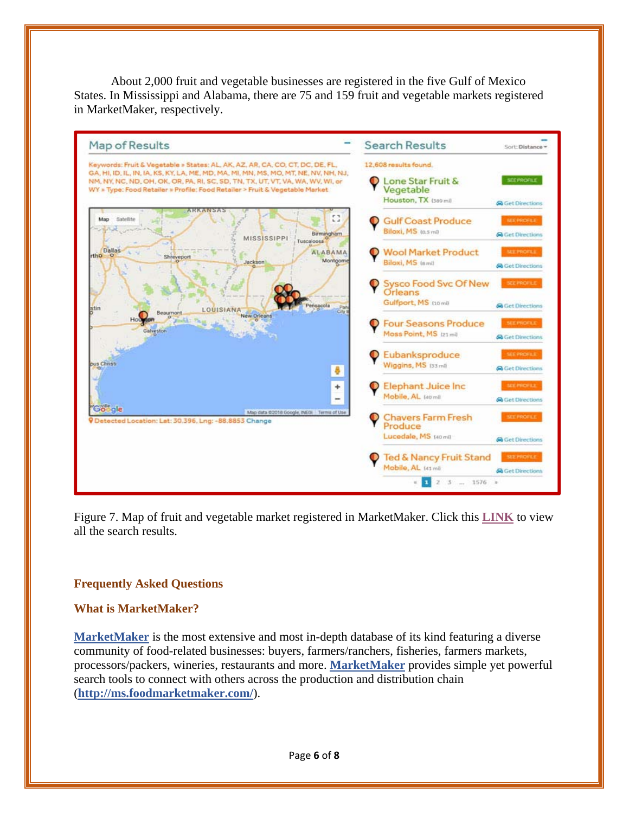About 2,000 fruit and vegetable businesses are registered in the five Gulf of Mexico States. In Mississippi and Alabama, there are 75 and 159 fruit and vegetable markets registered in MarketMaker, respectively.



Figure 7. Map of fruit and vegetable market registered in MarketMaker. Click this **LINK** to view all the search results.

#### **Frequently Asked Questions**

#### **What is MarketMaker?**

**MarketMaker** is the most extensive and most in-depth database of its kind featuring a diverse community of food-related businesses: buyers, farmers/ranchers, fisheries, farmers markets, processors/packers, wineries, restaurants and more. **MarketMaker** provides simple yet powerful search tools to connect with others across the production and distribution chain (**http://ms.foodmarketmaker.com/**).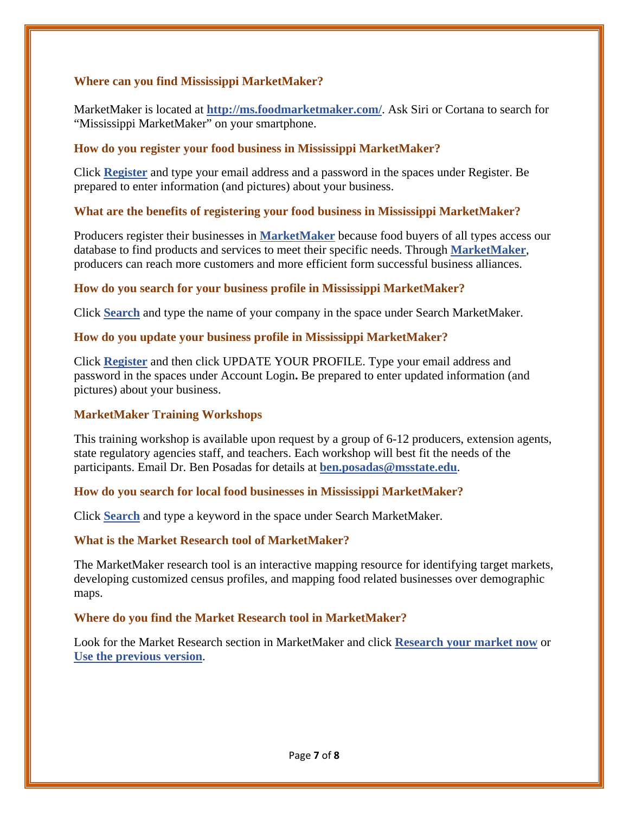#### **Where can you find Mississippi MarketMaker?**

MarketMaker is located at **http://ms.foodmarketmaker.com/**. Ask Siri or Cortana to search for "Mississippi MarketMaker" on your smartphone.

#### **How do you register your food business in Mississippi MarketMaker?**

Click **Register** and type your email address and a password in the spaces under Register. Be prepared to enter information (and pictures) about your business.

# **What are the benefits of registering your food business in Mississippi MarketMaker?**

Producers register their businesses in **MarketMaker** because food buyers of all types access our database to find products and services to meet their specific needs. Through **MarketMaker**, producers can reach more customers and more efficient form successful business alliances.

#### **How do you search for your business profile in Mississippi MarketMaker?**

Click **Search** and type the name of your company in the space under Search MarketMaker.

#### **How do you update your business profile in Mississippi MarketMaker?**

Click **Register** and then click UPDATE YOUR PROFILE. Type your email address and password in the spaces under Account Login**.** Be prepared to enter updated information (and pictures) about your business.

# **MarketMaker Training Workshops**

This training workshop is available upon request by a group of 6-12 producers, extension agents, state regulatory agencies staff, and teachers. Each workshop will best fit the needs of the participants. Email Dr. Ben Posadas for details at **ben.posadas@msstate.edu**.

#### **How do you search for local food businesses in Mississippi MarketMaker?**

Click **Search** and type a keyword in the space under Search MarketMaker.

# **What is the Market Research tool of MarketMaker?**

The MarketMaker research tool is an interactive mapping resource for identifying target markets, developing customized census profiles, and mapping food related businesses over demographic maps.

#### **Where do you find the Market Research tool in MarketMaker?**

Look for the Market Research section in MarketMaker and click **Research your market now** or **Use the previous version**.